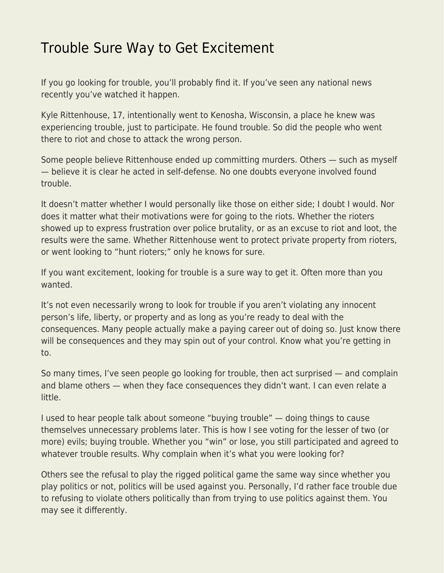## [Trouble Sure Way to Get Excitement](https://everything-voluntary.com/trouble-sure-way-to-get-excitement)

If you go looking for trouble, you'll probably find it. If you've seen any national news recently you've watched it happen.

Kyle Rittenhouse, 17, intentionally went to Kenosha, Wisconsin, a place he knew was experiencing trouble, just to participate. He found trouble. So did the people who went there to riot and chose to attack the wrong person.

Some people believe Rittenhouse ended up committing murders. Others — such as myself — believe it is clear he acted in self-defense. No one doubts everyone involved found trouble.

It doesn't matter whether I would personally like those on either side; I doubt I would. Nor does it matter what their motivations were for going to the riots. Whether the rioters showed up to express frustration over police brutality, or as an excuse to riot and loot, the results were the same. Whether Rittenhouse went to protect private property from rioters, or went looking to "hunt rioters;" only he knows for sure.

If you want excitement, looking for trouble is a sure way to get it. Often more than you wanted.

It's not even necessarily wrong to look for trouble if you aren't violating any innocent person's life, liberty, or property and as long as you're ready to deal with the consequences. Many people actually make a paying career out of doing so. Just know there will be consequences and they may spin out of your control. Know what you're getting in to.

So many times, I've seen people go looking for trouble, then act surprised — and complain and blame others — when they face consequences they didn't want. I can even relate a little.

I used to hear people talk about someone "buying trouble" — doing things to cause themselves unnecessary problems later. This is how I see voting for the lesser of two (or more) evils; buying trouble. Whether you "win" or lose, you still participated and agreed to whatever trouble results. Why complain when it's what you were looking for?

Others see the refusal to play the rigged political game the same way since whether you play politics or not, politics will be used against you. Personally, I'd rather face trouble due to refusing to violate others politically than from trying to use politics against them. You may see it differently.